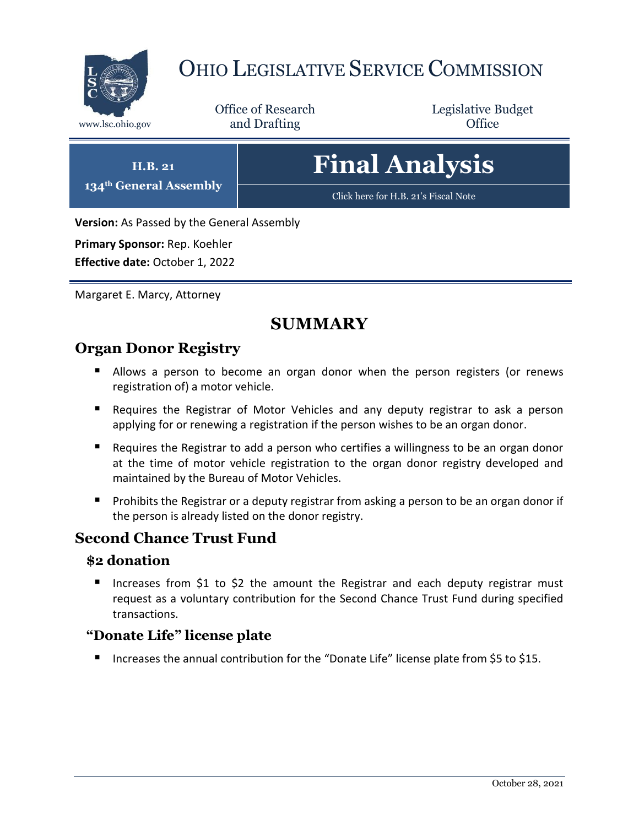

# OHIO LEGISLATIVE SERVICE COMMISSION

Office of Research www.lsc.ohio.gov **and Drafting Office** 

Legislative Budget

# **Final Analysis**

[Click here for H.B. 21](https://www.legislature.ohio.gov/legislation/legislation-documents?id=GA134-HB-21)'s Fiscal Note

**Version:** As Passed by the General Assembly

**Primary Sponsor:** Rep. Koehler

**H.B. 21 134th General Assembly**

**Effective date:** October 1, 2022

Margaret E. Marcy, Attorney

# **SUMMARY**

### **Organ Donor Registry**

- Allows a person to become an organ donor when the person registers (or renews registration of) a motor vehicle.
- Requires the Registrar of Motor Vehicles and any deputy registrar to ask a person applying for or renewing a registration if the person wishes to be an organ donor.
- Requires the Registrar to add a person who certifies a willingness to be an organ donor at the time of motor vehicle registration to the organ donor registry developed and maintained by the Bureau of Motor Vehicles.
- **Prohibits the Registrar or a deputy registrar from asking a person to be an organ donor if** the person is already listed on the donor registry.

## **Second Chance Trust Fund**

#### **\$2 donation**

Increases from \$1 to \$2 the amount the Registrar and each deputy registrar must request as a voluntary contribution for the Second Chance Trust Fund during specified transactions.

### **"Donate Life" license plate**

■ Increases the annual contribution for the "Donate Life" license plate from \$5 to \$15.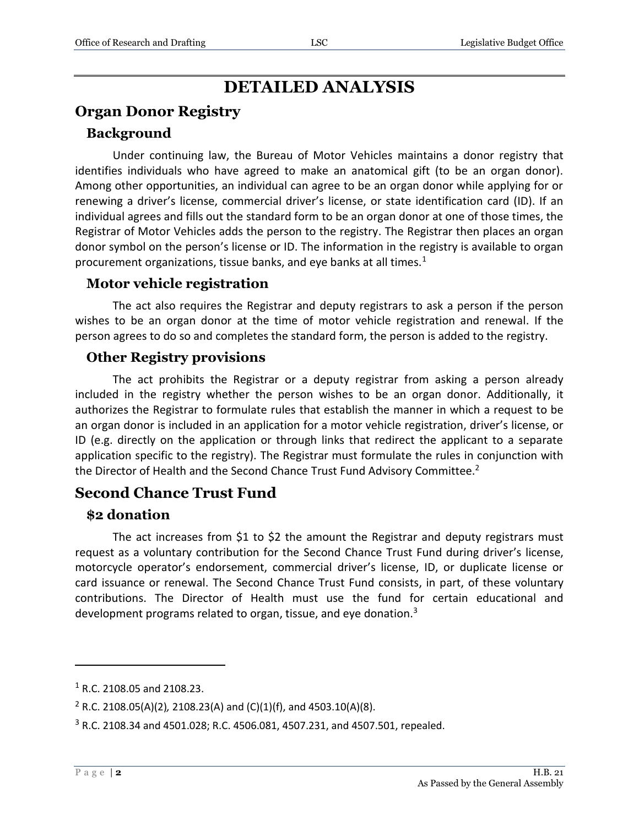## **DETAILED ANALYSIS**

## **Organ Donor Registry**

#### **Background**

Under continuing law, the Bureau of Motor Vehicles maintains a donor registry that identifies individuals who have agreed to make an anatomical gift (to be an organ donor). Among other opportunities, an individual can agree to be an organ donor while applying for or renewing a driver's license, commercial driver's license, or state identification card (ID). If an individual agrees and fills out the standard form to be an organ donor at one of those times, the Registrar of Motor Vehicles adds the person to the registry. The Registrar then places an organ donor symbol on the person's license or ID. The information in the registry is available to organ procurement organizations, tissue banks, and eye banks at all times. $<sup>1</sup>$ </sup>

#### **Motor vehicle registration**

The act also requires the Registrar and deputy registrars to ask a person if the person wishes to be an organ donor at the time of motor vehicle registration and renewal. If the person agrees to do so and completes the standard form, the person is added to the registry.

#### **Other Registry provisions**

The act prohibits the Registrar or a deputy registrar from asking a person already included in the registry whether the person wishes to be an organ donor. Additionally, it authorizes the Registrar to formulate rules that establish the manner in which a request to be an organ donor is included in an application for a motor vehicle registration, driver's license, or ID (e.g. directly on the application or through links that redirect the applicant to a separate application specific to the registry). The Registrar must formulate the rules in conjunction with the Director of Health and the Second Chance Trust Fund Advisory Committee.<sup>2</sup>

### **Second Chance Trust Fund**

#### **\$2 donation**

The act increases from \$1 to \$2 the amount the Registrar and deputy registrars must request as a voluntary contribution for the Second Chance Trust Fund during driver's license, motorcycle operator's endorsement, commercial driver's license, ID, or duplicate license or card issuance or renewal. The Second Chance Trust Fund consists, in part, of these voluntary contributions. The Director of Health must use the fund for certain educational and development programs related to organ, tissue, and eye donation.<sup>3</sup>

 $\overline{a}$ 

<sup>1</sup> R.C. 2108.05 and 2108.23.

<sup>2</sup> R.C. 2108.05(A)(2)*,* 2108.23(A) and (C)(1)(f), and 4503.10(A)(8).

<sup>3</sup> R.C. 2108.34 and 4501.028; R.C. 4506.081, 4507.231, and 4507.501, repealed.